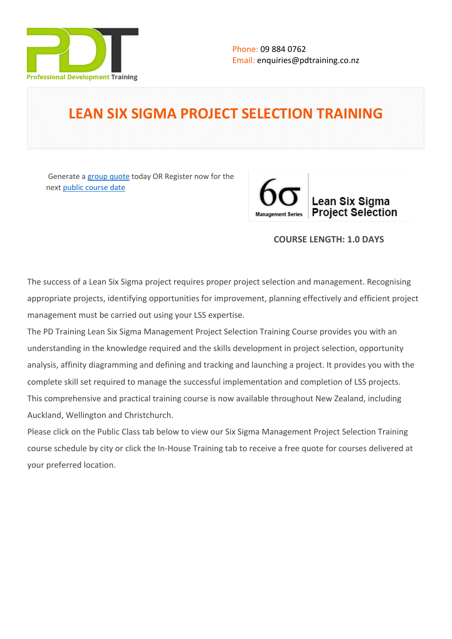

# **LEAN SIX SIGMA PROJECT SELECTION TRAINING**

 Generate a [group quote](https://pdtraining.co.nz/inhouse-training-quote?cse=PDT0172) today OR Register now for the next [public course date](https://pdtraining.co.nz/booking?schedulecode=uszWmK4UASVUTxq0QvZYO8ZfmrOoPapEtiSewKJ1aqVcMfrlEF9Cv7zwDtK56QfADqAKPmDgW7XxnWDgaCTjaXjwTwKc9O5ukvJvPQFsb3PyjbjQ0E4D66zQhd1tLAgibDn1nhAt7AhghVnRn4mFTC&countryCode=NZ¤cyCode=NZ)



### **COURSE LENGTH: 1.0 DAYS**

The success of a Lean Six Sigma project requires proper project selection and management. Recognising appropriate projects, identifying opportunities for improvement, planning effectively and efficient project management must be carried out using your LSS expertise.

The PD Training Lean Six Sigma Management Project Selection Training Course provides you with an understanding in the knowledge required and the skills development in project selection, opportunity analysis, affinity diagramming and defining and tracking and launching a project. It provides you with the complete skill set required to manage the successful implementation and completion of LSS projects. This comprehensive and practical training course is now available throughout New Zealand, including Auckland, Wellington and Christchurch.

Please click on the Public Class tab below to view our Six Sigma Management Project Selection Training course schedule by city or click the In-House Training tab to receive a free quote for courses delivered at your preferred location.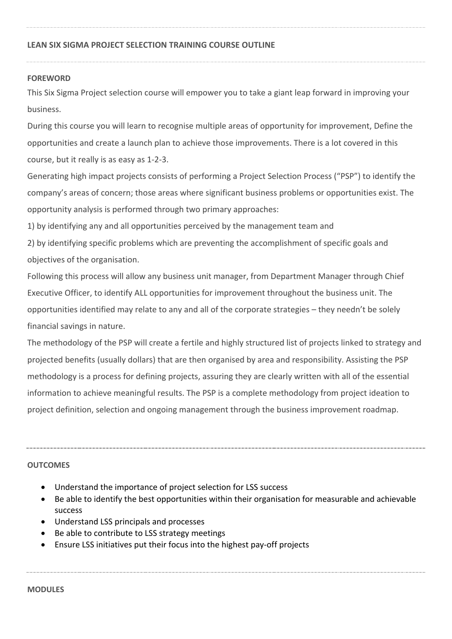#### **FOREWORD**

This Six Sigma Project selection course will empower you to take a giant leap forward in improving your business.

During this course you will learn to recognise multiple areas of opportunity for improvement, Define the opportunities and create a launch plan to achieve those improvements. There is a lot covered in this course, but it really is as easy as 1-2-3.

Generating high impact projects consists of performing a Project Selection Process ("PSP") to identify the company's areas of concern; those areas where significant business problems or opportunities exist. The opportunity analysis is performed through two primary approaches:

1) by identifying any and all opportunities perceived by the management team and

2) by identifying specific problems which are preventing the accomplishment of specific goals and objectives of the organisation.

Following this process will allow any business unit manager, from Department Manager through Chief Executive Officer, to identify ALL opportunities for improvement throughout the business unit. The opportunities identified may relate to any and all of the corporate strategies – they needn't be solely financial savings in nature.

The methodology of the PSP will create a fertile and highly structured list of projects linked to strategy and projected benefits (usually dollars) that are then organised by area and responsibility. Assisting the PSP methodology is a process for defining projects, assuring they are clearly written with all of the essential information to achieve meaningful results. The PSP is a complete methodology from project ideation to project definition, selection and ongoing management through the business improvement roadmap.

### **OUTCOMES**

- Understand the importance of project selection for LSS success
- Be able to identify the best opportunities within their organisation for measurable and achievable success
- Understand LSS principals and processes
- Be able to contribute to LSS strategy meetings
- Ensure LSS initiatives put their focus into the highest pay-off projects